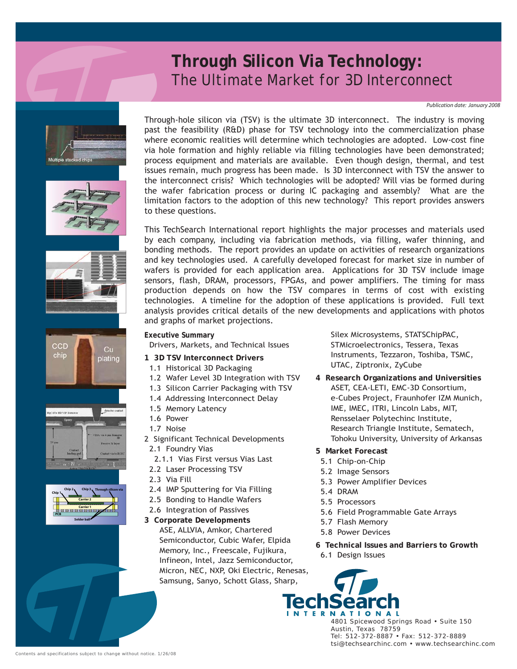## **Through Silicon Via Technology:** *The Ultimate Market for 3D Interconnect*

*Publication date: January 2008*













Through-hole silicon via (TSV) is the ultimate 3D interconnect. The industry is moving past the feasibility (R&D) phase for TSV technology into the commercialization phase where economic realities will determine which technologies are adopted. Low-cost fine via hole formation and highly reliable via filling technologies have been demonstrated; process equipment and materials are available. Even though design, thermal, and test issues remain, much progress has been made. Is 3D interconnect with TSV the answer to the interconnect crisis? Which technologies will be adopted? Will vias be formed during the wafer fabrication process or during IC packaging and assembly? What are the limitation factors to the adoption of this new technology? This report provides answers to these questions.

This TechSearch International report highlights the major processes and materials used by each company, including via fabrication methods, via filling, wafer thinning, and bonding methods. The report provides an update on activities of research organizations and key technologies used. A carefully developed forecast for market size in number of wafers is provided for each application area. Applications for 3D TSV include image sensors, flash, DRAM, processors, FPGAs, and power amplifiers. The timing for mass production depends on how the TSV compares in terms of cost with existing technologies. A timeline for the adoption of these applications is provided. Full text analysis provides critical details of the new developments and applications with photos and graphs of market projections.

Drivers, Markets, and Technical Issues

**Executive Summary**

- **1 3D TSV Interconnect Drivers**
- 1.1 Historical 3D Packaging
- 1.2 Wafer Level 3D Integration with TSV
- 1.3 Silicon Carrier Packaging with TSV
- 1.4 Addressing Interconnect Delay
- 1.5 Memory Latency
- 1.6 Power
- 1.7 Noise
- 2 Significant Technical Developments
	- 2.1 Foundry Vias
	- 2.1.1 Vias First versus Vias Last
	- 2.2 Laser Processing TSV
	- 2.3 Via Fill
	- 2.4 IMP Sputtering for Via Filling
	- 2.5 Bonding to Handle Wafers
	- 2.6 Integration of Passives
- **3 Corporate Developments** ASE, ALLVIA, Amkor, Chartered Semiconductor, Cubic Wafer, Elpida Memory, Inc., Freescale, Fujikura, Infineon, Intel, Jazz Semiconductor, Micron, NEC, NXP, Oki Electric, Renesas, Samsung, Sanyo, Schott Glass, Sharp,

Silex Microsystems, STATSChipPAC, STMicroelectronics, Tessera, Texas Instruments, Tezzaron, Toshiba, TSMC, UTAC, Ziptronix, ZyCube

- **4 Research Organizations and Universities** ASET, CEA-LETI, EMC-3D Consortium, e-Cubes Project, Fraunhofer IZM Munich, IME, IMEC, ITRI, Lincoln Labs, MIT, Rensselaer Polytechinc Institute, Research Triangle Institute, Sematech, Tohoku University, University of Arkansas
- **5 Market Forecast**
- 5.1 Chip-on-Chip
- 5.2 Image Sensors
- 5.3 Power Amplifier Devices
- 5.4 DRAM
- 5.5 Processors
- 5.6 Field Programmable Gate Arrays
- 5.7 Flash Memory
- 5.8 Power Devices
- **6 Technical Issues and Barriers to Growth** 6.1 Design Issues



4801 Spicewood Springs Road • Suite 150 Austin, Texas 78759 Tel: 512-372-8887 • Fax: 512-372-8889 tsi@techsearchinc.com • www.techsearchinc.com